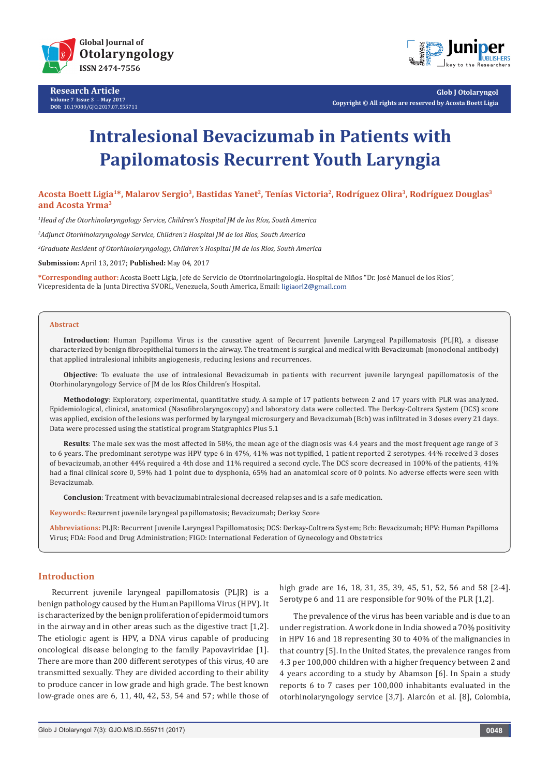![](_page_0_Picture_0.jpeg)

**Research Article Volume 7 Issue 3** - **May 2017 DOI:** [10.19080/GJO.2017.07.5557](http://dx.doi.org/10.19080/GJO.2017.07.555711)11

![](_page_0_Picture_2.jpeg)

**Glob J Otolaryngol Copyright © All rights are reserved by Acosta Boett Ligia**

# **Intralesional Bevacizumab in Patients with Papilomatosis Recurrent Youth Laryngia**

**Acosta Boett Ligia1\*, Malarov Sergio3, Bastidas Yanet2, Tenías Victoria2, Rodríguez Olira3, Rodríguez Douglas3 and Acosta Yrma3**

*1 Head of the Otorhinolaryngology Service, Children's Hospital JM de los Ríos, South America*

*2 Adjunct Otorhinolaryngology Service, Children's Hospital JM de los Ríos, South America*

*3 Graduate Resident of Otorhinolaryngology, Children's Hospital JM de los Ríos, South America*

**Submission:** April 13, 2017; **Published:** May 04, 2017

**\*Corresponding author:** Acosta Boett Ligia, Jefe de Servicio de Otorrinolaringología. Hospital de Niños "Dr. José Manuel de los Ríos", Vicepresidenta de la Junta Directiva SVORL, Venezuela, South America, Email:

#### **Abstract**

**Introduction**: Human Papilloma Virus is the causative agent of Recurrent Juvenile Laryngeal Papillomatosis (PLJR), a disease characterized by benign fibroepithelial tumors in the airway. The treatment is surgical and medical with Bevacizumab (monoclonal antibody) that applied intralesional inhibits angiogenesis, reducing lesions and recurrences.

**Objective**: To evaluate the use of intralesional Bevacizumab in patients with recurrent juvenile laryngeal papillomatosis of the Otorhinolaryngology Service of JM de los Ríos Children's Hospital.

**Methodology**: Exploratory, experimental, quantitative study. A sample of 17 patients between 2 and 17 years with PLR was analyzed. Epidemiological, clinical, anatomical (Nasofibrolaryngoscopy) and laboratory data were collected. The Derkay-Coltrera System (DCS) score was applied, excision of the lesions was performed by laryngeal microsurgery and Bevacizumab (Bcb) was infiltrated in 3 doses every 21 days. Data were processed using the statistical program Statgraphics Plus 5.1

**Results**: The male sex was the most affected in 58%, the mean age of the diagnosis was 4.4 years and the most frequent age range of 3 to 6 years. The predominant serotype was HPV type 6 in 47%, 41% was not typified, 1 patient reported 2 serotypes. 44% received 3 doses of bevacizumab, another 44% required a 4th dose and 11% required a second cycle. The DCS score decreased in 100% of the patients, 41% had a final clinical score 0, 59% had 1 point due to dysphonia, 65% had an anatomical score of 0 points. No adverse effects were seen with Bevacizumab.

**Conclusion**: Treatment with bevacizumabintralesional decreased relapses and is a safe medication.

**Keywords:** Recurrent juvenile laryngeal papillomatosis; Bevacizumab; Derkay Score

**Abbreviations:** PLJR: Recurrent Juvenile Laryngeal Papillomatosis; DCS: Derkay-Coltrera System; Bcb: Bevacizumab; HPV: Human Papilloma Virus; FDA: Food and Drug Administration; FIGO: International Federation of Gynecology and Obstetrics

#### **Introduction**

Recurrent juvenile laryngeal papillomatosis (PLJR) is a benign pathology caused by the Human Papilloma Virus (HPV). It is characterized by the benign proliferation of epidermoid tumors in the airway and in other areas such as the digestive tract [1,2]. The etiologic agent is HPV, a DNA virus capable of producing oncological disease belonging to the family Papovaviridae [1]. There are more than 200 different serotypes of this virus, 40 are transmitted sexually. They are divided according to their ability to produce cancer in low grade and high grade. The best known low-grade ones are 6, 11, 40, 42, 53, 54 and 57; while those of high grade are 16, 18, 31, 35, 39, 45, 51, 52, 56 and 58 [2-4]. Serotype 6 and 11 are responsible for 90% of the PLR [1,2].

The prevalence of the virus has been variable and is due to an under registration. A work done in India showed a 70% positivity in HPV 16 and 18 representing 30 to 40% of the malignancies in that country [5]. In the United States, the prevalence ranges from 4.3 per 100,000 children with a higher frequency between 2 and 4 years according to a study by Abamson [6]. In Spain a study reports 6 to 7 cases per 100,000 inhabitants evaluated in the otorhinolaryngology service [3,7]. Alarcón et al. [8], Colombia,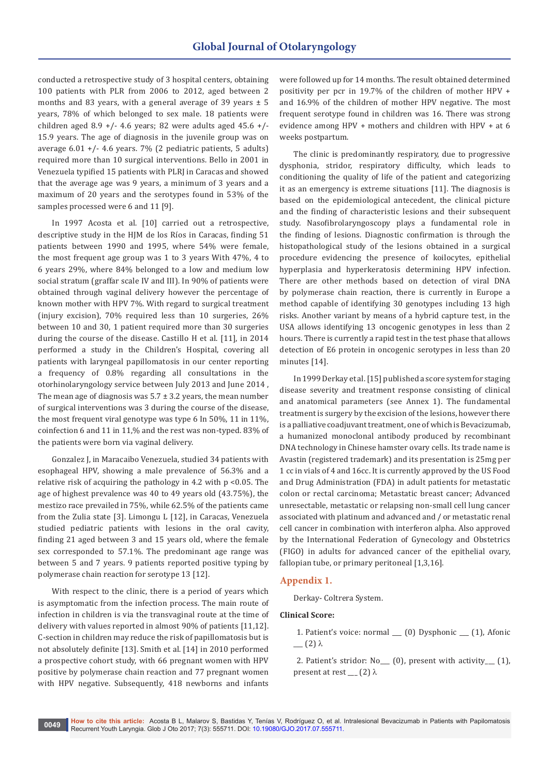conducted a retrospective study of 3 hospital centers, obtaining 100 patients with PLR from 2006 to 2012, aged between 2 months and 83 years, with a general average of 39 years  $\pm$  5 years, 78% of which belonged to sex male. 18 patients were children aged 8.9 +/- 4.6 years; 82 were adults aged 45.6 +/-15.9 years. The age of diagnosis in the juvenile group was on average  $6.01 +$ /- 4.6 years. 7% (2 pediatric patients, 5 adults) required more than 10 surgical interventions. Bello in 2001 in Venezuela typified 15 patients with PLRJ in Caracas and showed that the average age was 9 years, a minimum of 3 years and a maximum of 20 years and the serotypes found in 53% of the samples processed were 6 and 11 [9].

In 1997 Acosta et al. [10] carried out a retrospective, descriptive study in the HJM de los Ríos in Caracas, finding 51 patients between 1990 and 1995, where 54% were female, the most frequent age group was 1 to 3 years With 47%, 4 to 6 years 29%, where 84% belonged to a low and medium low social stratum (graffar scale IV and III). In 90% of patients were obtained through vaginal delivery however the percentage of known mother with HPV 7%. With regard to surgical treatment (injury excision), 70% required less than 10 surgeries, 26% between 10 and 30, 1 patient required more than 30 surgeries during the course of the disease. Castillo H et al. [11], in 2014 performed a study in the Children's Hospital, covering all patients with laryngeal papillomatosis in our center reporting a frequency of 0.8% regarding all consultations in the otorhinolaryngology service between July 2013 and June 2014 , The mean age of diagnosis was  $5.7 \pm 3.2$  years, the mean number of surgical interventions was 3 during the course of the disease, the most frequent viral genotype was type 6 In 50%, 11 in 11%, coinfection 6 and 11 in 11,% and the rest was non-typed. 83% of the patients were born via vaginal delivery.

Gonzalez J, in Maracaibo Venezuela, studied 34 patients with esophageal HPV, showing a male prevalence of 56.3% and a relative risk of acquiring the pathology in 4.2 with p <0.05. The age of highest prevalence was 40 to 49 years old (43.75%), the mestizo race prevailed in 75%, while 62.5% of the patients came from the Zulia state [3]. Limongu L [12], in Caracas, Venezuela studied pediatric patients with lesions in the oral cavity, finding 21 aged between 3 and 15 years old, where the female sex corresponded to 57.1%. The predominant age range was between 5 and 7 years. 9 patients reported positive typing by polymerase chain reaction for serotype 13 [12].

With respect to the clinic, there is a period of years which is asymptomatic from the infection process. The main route of infection in children is via the transvaginal route at the time of delivery with values reported in almost 90% of patients [11,12]. C-section in children may reduce the risk of papillomatosis but is not absolutely definite [13]. Smith et al. [14] in 2010 performed a prospective cohort study, with 66 pregnant women with HPV positive by polymerase chain reaction and 77 pregnant women with HPV negative. Subsequently, 418 newborns and infants

were followed up for 14 months. The result obtained determined positivity per pcr in 19.7% of the children of mother HPV + and 16.9% of the children of mother HPV negative. The most frequent serotype found in children was 16. There was strong evidence among HPV + mothers and children with HPV + at 6 weeks postpartum.

The clinic is predominantly respiratory, due to progressive dysphonia, stridor, respiratory difficulty, which leads to conditioning the quality of life of the patient and categorizing it as an emergency is extreme situations [11]. The diagnosis is based on the epidemiological antecedent, the clinical picture and the finding of characteristic lesions and their subsequent study. Nasofibrolaryngoscopy plays a fundamental role in the finding of lesions. Diagnostic confirmation is through the histopathological study of the lesions obtained in a surgical procedure evidencing the presence of koilocytes, epithelial hyperplasia and hyperkeratosis determining HPV infection. There are other methods based on detection of viral DNA by polymerase chain reaction, there is currently in Europe a method capable of identifying 30 genotypes including 13 high risks. Another variant by means of a hybrid capture test, in the USA allows identifying 13 oncogenic genotypes in less than 2 hours. There is currently a rapid test in the test phase that allows detection of E6 protein in oncogenic serotypes in less than 20 minutes [14].

In 1999 Derkay et al. [15] published a score system for staging disease severity and treatment response consisting of clinical and anatomical parameters (see Annex 1). The fundamental treatment is surgery by the excision of the lesions, however there is a palliative coadjuvant treatment, one of which is Bevacizumab, a humanized monoclonal antibody produced by recombinant DNA technology in Chinese hamster ovary cells. Its trade name is Avastin (registered trademark) and its presentation is 25mg per 1 cc in vials of 4 and 16cc. It is currently approved by the US Food and Drug Administration (FDA) in adult patients for metastatic colon or rectal carcinoma; Metastatic breast cancer; Advanced unresectable, metastatic or relapsing non-small cell lung cancer associated with platinum and advanced and / or metastatic renal cell cancer in combination with interferon alpha. Also approved by the International Federation of Gynecology and Obstetrics (FIGO) in adults for advanced cancer of the epithelial ovary, fallopian tube, or primary peritoneal [1,3,16].

## **Appendix 1.**

Derkay- Coltrera System.

#### **Clinical Score:**

- 1. Patient's voice: normal \_\_\_ (0) Dysphonic \_\_\_ (1), Afonic  $(2)$   $\lambda$
- 2. Patient's stridor: No\_\_\_ (0), present with activity\_\_\_ (1), present at rest  $(2)$   $\lambda$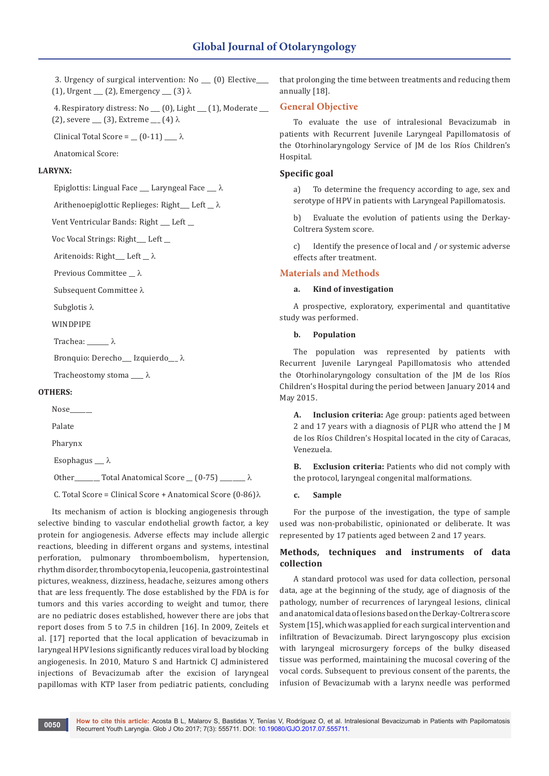3. Urgency of surgical intervention: No \_\_\_ (0) Elective\_\_\_\_ (1), Urgent  $(2)$ , Emergency  $(3)$   $\lambda$ 

 4. Respiratory distress: No \_\_\_ (0), Light \_\_\_ (1), Moderate \_\_\_ (2), severe  $(3)$ , Extreme  $(4)$   $\lambda$ 

Clinical Total Score =  $(0-11)$   $\lambda$ 

Anatomical Score:

# **LARYNX:**

Epiglottis: Lingual Face  $\_\_\$  Laryngeal Face  $\_\_\$ 

Arithenoepiglottic Replieges: Right Left  $\_\lambda$ 

Vent Ventricular Bands: Right \_\_\_ Left \_\_

Voc Vocal Strings: Right\_\_\_ Left \_\_

Aritenoids: Right $\rule{1em}{0.15mm}$  Left  $\rule{1em}{0.15mm}$ 

Previous Committee  $\_\lambda$ 

Subsequent Committee λ

Subglotis  $\lambda$ 

WINDPIPE

Trachea:  $\lambda$ 

Bronquio: Derecho\_\_\_ Izquierdo\_\_ λ

Tracheostomy stoma  $\_\_\_\lambda$ 

#### **OTHERS:**

Nose\_\_\_\_\_\_\_

Palate

Pharynx

Esophagus  $\_\_\lambda$ 

Other\_\_\_\_\_\_\_\_ Total Anatomical Score  $(0-75)$  \_\_\_\_\_\_\_  $\lambda$ 

C. Total Score = Clinical Score + Anatomical Score  $(0-86)\lambda$ 

Its mechanism of action is blocking angiogenesis through selective binding to vascular endothelial growth factor, a key protein for angiogenesis. Adverse effects may include allergic reactions, bleeding in different organs and systems, intestinal perforation, pulmonary thromboembolism, hypertension, rhythm disorder, thrombocytopenia, leucopenia, gastrointestinal pictures, weakness, dizziness, headache, seizures among others that are less frequently. The dose established by the FDA is for tumors and this varies according to weight and tumor, there are no pediatric doses established, however there are jobs that report doses from 5 to 7.5 in children [16]. In 2009, Zeitels et al. [17] reported that the local application of bevacizumab in laryngeal HPV lesions significantly reduces viral load by blocking angiogenesis. In 2010, Maturo S and Hartnick CI administered injections of Bevacizumab after the excision of laryngeal papillomas with KTP laser from pediatric patients, concluding that prolonging the time between treatments and reducing them annually [18].

# **General Objective**

To evaluate the use of intralesional Bevacizumab in patients with Recurrent Juvenile Laryngeal Papillomatosis of the Otorhinolaryngology Service of JM de los Ríos Children's Hospital.

# **Specific goal**

a) To determine the frequency according to age, sex and serotype of HPV in patients with Laryngeal Papillomatosis.

b) Evaluate the evolution of patients using the Derkay-Coltrera System score.

c) Identify the presence of local and / or systemic adverse effects after treatment.

## **Materials and Methods**

# **a. Kind of investigation**

A prospective, exploratory, experimental and quantitative study was performed.

#### **b. Population**

The population was represented by patients with Recurrent Juvenile Laryngeal Papillomatosis who attended the Otorhinolaryngology consultation of the JM de los Ríos Children's Hospital during the period between January 2014 and May 2015.

**A. Inclusion criteria:** Age group: patients aged between 2 and 17 years with a diagnosis of PLJR who attend the J M de los Ríos Children's Hospital located in the city of Caracas, Venezuela.

**B. Exclusion criteria:** Patients who did not comply with the protocol, laryngeal congenital malformations.

#### **c. Sample**

For the purpose of the investigation, the type of sample used was non-probabilistic, opinionated or deliberate. It was represented by 17 patients aged between 2 and 17 years.

# **Methods, techniques and instruments of data collection**

A standard protocol was used for data collection, personal data, age at the beginning of the study, age of diagnosis of the pathology, number of recurrences of laryngeal lesions, clinical and anatomical data of lesions based on the Derkay-Coltrera score System [15], which was applied for each surgical intervention and infiltration of Bevacizumab. Direct laryngoscopy plus excision with laryngeal microsurgery forceps of the bulky diseased tissue was performed, maintaining the mucosal covering of the vocal cords. Subsequent to previous consent of the parents, the infusion of Bevacizumab with a larynx needle was performed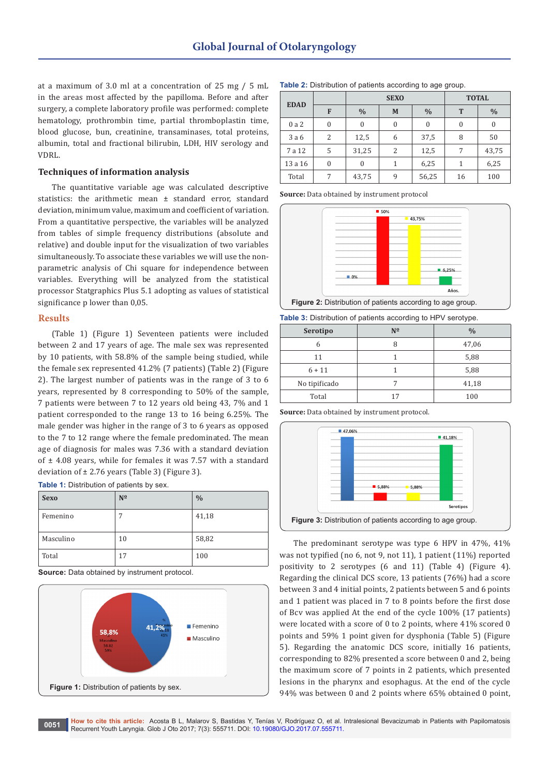at a maximum of 3.0 ml at a concentration of 25 mg / 5 mL in the areas most affected by the papilloma. Before and after surgery, a complete laboratory profile was performed: complete hematology, prothrombin time, partial thromboplastin time, blood glucose, bun, creatinine, transaminases, total proteins, albumin, total and fractional bilirubin, LDH, HIV serology and VDRL.

#### **Techniques of information analysis**

The quantitative variable age was calculated descriptive statistics: the arithmetic mean ± standard error, standard deviation, minimum value, maximum and coefficient of variation. From a quantitative perspective, the variables will be analyzed from tables of simple frequency distributions (absolute and relative) and double input for the visualization of two variables simultaneously. To associate these variables we will use the nonparametric analysis of Chi square for independence between variables. Everything will be analyzed from the statistical processor Statgraphics Plus 5.1 adopting as values of statistical significance p lower than 0,05.

# **Results**

(Table 1) (Figure 1) Seventeen patients were included between 2 and 17 years of age. The male sex was represented by 10 patients, with 58.8% of the sample being studied, while the female sex represented 41.2% (7 patients) (Table 2) (Figure 2). The largest number of patients was in the range of 3 to 6 years, represented by 8 corresponding to 50% of the sample, 7 patients were between 7 to 12 years old being 43, 7% and 1 patient corresponded to the range 13 to 16 being 6.25%. The male gender was higher in the range of 3 to 6 years as opposed to the 7 to 12 range where the female predominated. The mean age of diagnosis for males was 7.36 with a standard deviation of  $\pm$  4.08 years, while for females it was 7.57 with a standard deviation of  $\pm$  2.76 years (Table 3) (Figure 3).

**Table 1:** Distribution of patients by sex.

| <b>Sexo</b> | $N^{\Omega}$ | $\frac{0}{0}$ |
|-------------|--------------|---------------|
| Femenino    |              | 41,18         |
| Masculino   | 10           | 58,82         |
| Total       | 17           | 100           |

**Source:** Data obtained by instrument protocol.

![](_page_3_Figure_9.jpeg)

|             | <b>SEXO</b>   |   |               | <b>TOTAL</b> |               |
|-------------|---------------|---|---------------|--------------|---------------|
| <b>EDAD</b> | $\frac{0}{0}$ | M | $\frac{0}{0}$ | $\mathbf{r}$ | $\frac{0}{0}$ |
| 0 a 2       | U             |   |               |              | 0             |

3 a 6 | 2 | 12,5 | 6 | 37,5 | 8 | 50 7 a 12 5 31,25 2 12,5 7 43,75  $13 a 16$  0 0 1 6,25 1 6,25 Total 7 43,75 9 56,25 16 100

| <b>Table 2:</b> Distribution of patients according to age group. |  |  |  |
|------------------------------------------------------------------|--|--|--|
|                                                                  |  |  |  |

**Source:** Data obtained by instrument protocol

![](_page_3_Figure_13.jpeg)

**Table 3:** Distribution of patients according to HPV serotype.

| Serotipo      | $N^{\Omega}$ | $\frac{0}{0}$ |
|---------------|--------------|---------------|
| h             |              | 47,06         |
| 11            |              | 5,88          |
| $6 + 11$      |              | 5,88          |
| No tipificado |              | 41,18         |
| Total         | 17           | 100           |

**Source:** Data obtained by instrument protocol.

![](_page_3_Figure_17.jpeg)

The predominant serotype was type 6 HPV in 47%, 41% was not typified (no 6, not 9, not 11), 1 patient (11%) reported positivity to 2 serotypes (6 and 11) (Table 4) (Figure 4). Regarding the clinical DCS score, 13 patients (76%) had a score between 3 and 4 initial points, 2 patients between 5 and 6 points and 1 patient was placed in 7 to 8 points before the first dose of Bcv was applied At the end of the cycle 100% (17 patients) were located with a score of 0 to 2 points, where 41% scored 0 points and 59% 1 point given for dysphonia (Table 5) (Figure 5). Regarding the anatomic DCS score, initially 16 patients, corresponding to 82% presented a score between 0 and 2, being the maximum score of 7 points in 2 patients, which presented lesions in the pharynx and esophagus. At the end of the cycle 94% was between 0 and 2 points where 65% obtained 0 point,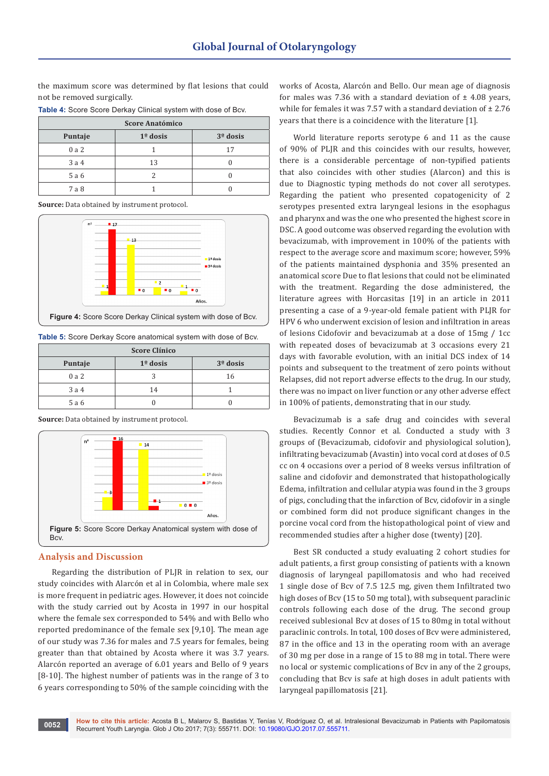the maximum score was determined by flat lesions that could not be removed surgically.

| Table 4: Score Score Derkay Clinical system with dose of Bcv. |  |  |  |
|---------------------------------------------------------------|--|--|--|
|---------------------------------------------------------------|--|--|--|

| Score Anatómico |            |            |  |
|-----------------|------------|------------|--|
| Puntaje         | $1°$ dosis | $3o$ dosis |  |
| 0a2             |            | 17         |  |
| 3a4             | 13         |            |  |
| 5 a 6           |            |            |  |
| 7 a 8           |            |            |  |

**Source:** Data obtained by instrument protocol.

![](_page_4_Figure_5.jpeg)

**Table 5:** Score Derkay Score anatomical system with dose of Bcv.

| <b>Score Clínico</b> |            |            |  |
|----------------------|------------|------------|--|
| Puntaje              | $1°$ dosis | $3°$ dosis |  |
| 0a2                  |            | 16         |  |
| 3a4                  | 14         |            |  |
| 5 a 6                |            |            |  |

**Source:** Data obtained by instrument protocol.

![](_page_4_Figure_9.jpeg)

#### **Analysis and Discussion**

Regarding the distribution of PLJR in relation to sex, our study coincides with Alarcón et al in Colombia, where male sex is more frequent in pediatric ages. However, it does not coincide with the study carried out by Acosta in 1997 in our hospital where the female sex corresponded to 54% and with Bello who reported predominance of the female sex [9,10]. The mean age of our study was 7.36 for males and 7.5 years for females, being greater than that obtained by Acosta where it was 3.7 years. Alarcón reported an average of 6.01 years and Bello of 9 years [8-10]. The highest number of patients was in the range of 3 to 6 years corresponding to 50% of the sample coinciding with the

works of Acosta, Alarcón and Bello. Our mean age of diagnosis for males was 7.36 with a standard deviation of  $\pm$  4.08 years, while for females it was 7.57 with a standard deviation of  $\pm 2.76$ years that there is a coincidence with the literature [1].

World literature reports serotype 6 and 11 as the cause of 90% of PLJR and this coincides with our results, however, there is a considerable percentage of non-typified patients that also coincides with other studies (Alarcon) and this is due to Diagnostic typing methods do not cover all serotypes. Regarding the patient who presented copatogenicity of 2 serotypes presented extra laryngeal lesions in the esophagus and pharynx and was the one who presented the highest score in DSC. A good outcome was observed regarding the evolution with bevacizumab, with improvement in 100% of the patients with respect to the average score and maximum score; however, 59% of the patients maintained dysphonia and 35% presented an anatomical score Due to flat lesions that could not be eliminated with the treatment. Regarding the dose administered, the literature agrees with Horcasitas [19] in an article in 2011 presenting a case of a 9-year-old female patient with PLJR for HPV 6 who underwent excision of lesion and infiltration in areas of lesions Cidofovir and bevacizumab at a dose of 15mg / 1cc with repeated doses of bevacizumab at 3 occasions every 21 days with favorable evolution, with an initial DCS index of 14 points and subsequent to the treatment of zero points without Relapses, did not report adverse effects to the drug. In our study, there was no impact on liver function or any other adverse effect in 100% of patients, demonstrating that in our study.

Bevacizumab is a safe drug and coincides with several studies. Recently Connor et al. Conducted a study with 3 groups of (Bevacizumab, cidofovir and physiological solution), infiltrating bevacizumab (Avastin) into vocal cord at doses of 0.5 cc on 4 occasions over a period of 8 weeks versus infiltration of saline and cidofovir and demonstrated that histopathologically Edema, infiltration and cellular atypia was found in the 3 groups of pigs, concluding that the infarction of Bcv, cidofovir in a single or combined form did not produce significant changes in the porcine vocal cord from the histopathological point of view and recommended studies after a higher dose (twenty) [20].

Best SR conducted a study evaluating 2 cohort studies for adult patients, a first group consisting of patients with a known diagnosis of laryngeal papillomatosis and who had received 1 single dose of Bcv of 7.5 12.5 mg, given them Infiltrated two high doses of Bcv (15 to 50 mg total), with subsequent paraclinic controls following each dose of the drug. The second group received sublesional Bcv at doses of 15 to 80mg in total without paraclinic controls. In total, 100 doses of Bcv were administered, 87 in the office and 13 in the operating room with an average of 30 mg per dose in a range of 15 to 88 mg in total. There were no local or systemic complications of Bcv in any of the 2 groups, concluding that Bcv is safe at high doses in adult patients with laryngeal papillomatosis [21].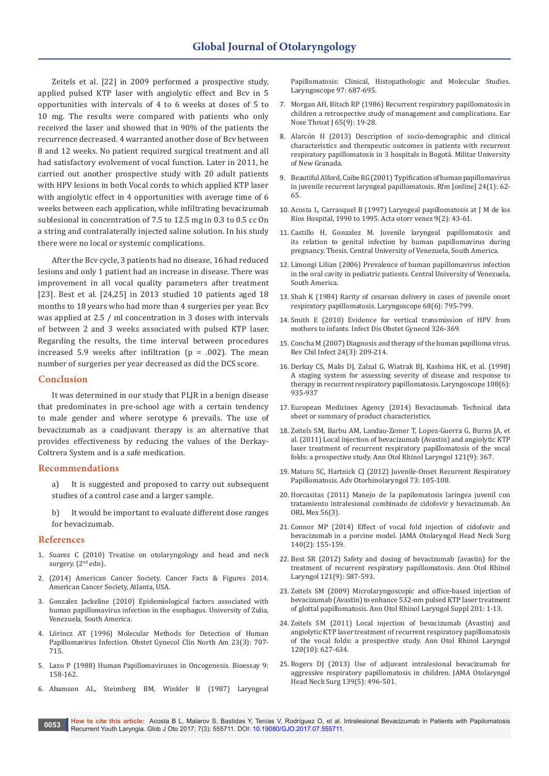Zeitels et al. [22] in 2009 performed a prospective study, applied pulsed KTP laser with angiolytic effect and Bcv in 5 opportunities with intervals of 4 to 6 weeks at doses of 5 to 10 mg. The results were compared with patients who only received the laser and showed that in 90% of the patients the recurrence decreased. 4 warranted another dose of Bcv between 8 and 12 weeks. No patient required surgical treatment and all had satisfactory evolvement of vocal function. Later in 2011, he carried out another prospective study with 20 adult patients with HPV lesions in both Vocal cords to which applied KTP laser with angiolytic effect in 4 opportunities with average time of 6 weeks between each application, while infiltrating bevacizumab sublesional in concentration of 7.5 to 12.5 mg in 0.3 to 0.5 cc On a string and contralaterally injected saline solution. In his study there were no local or systemic complications.

After the Bcv cycle, 3 patients had no disease, 16 had reduced lesions and only 1 patient had an increase in disease. There was improvement in all vocal quality parameters after treatment [23]. Best et al. [24,25] in 2013 studied 10 patients aged 18 months to 18 years who had more than 4 surgeries per year. Bcv was applied at 2.5 / ml concentration in 3 doses with intervals of between 2 and 3 weeks associated with pulsed KTP laser. Regarding the results, the time interval between procedures increased 5.9 weeks after infiltration ( $p = .002$ ). The mean number of surgeries per year decreased as did the DCS score.

#### **Conclusion**

It was determined in our study that PLJR in a benign disease that predominates in pre-school age with a certain tendency to male gender and where serotype 6 prevails. The use of bevacizumab as a coadjuvant therapy is an alternative that provides effectiveness by reducing the values of the Derkay-Coltrera System and is a safe medication.

#### **Recommendations**

a) It is suggested and proposed to carry out subsequent studies of a control case and a larger sample.

b) It would be important to evaluate different dose ranges for bevacizumab.

#### **References**

- 1. Suarez C (2010) Treatise on otolaryngology and head and neck surgery. (2<sup>nd</sup> edn).
- 2. (2014) American Cancer Society. Cancer Facts & Figures 2014. American Cancer Society, Atlanta, USA.
- 3. [Gonzalez Jackeline \(2010\) Epidemiological factors associated with](http://tesis.luz.edu.ve/tde_busca/arquivo.php?codArquivo=2996)  [human papillomavirus infection in the esophagus. University of Zulia,](http://tesis.luz.edu.ve/tde_busca/arquivo.php?codArquivo=2996)  [Venezuela, South America.](http://tesis.luz.edu.ve/tde_busca/arquivo.php?codArquivo=2996)
- 4. [Lörincz AT \(1996\) Molecular Methods for Detection of Human](https://www.ncbi.nlm.nih.gov/pubmed/8869954)  [Papillomavirus Infection. Obstet Gynecol Clin North Am 23\(3\): 707-](https://www.ncbi.nlm.nih.gov/pubmed/8869954) [715.](https://www.ncbi.nlm.nih.gov/pubmed/8869954)
- 5. Lazo P (1988) Human Papillomaviruses in Oncogenesis. Bioessay 9: 158-162.
- 6. [Abamson AL, Steimberg BM, Winkler B \(1987\) Laryngeal](https://www.ncbi.nlm.nih.gov/pubmed/3035299)

[Papillomatosis: Clinical, Histopathologic and Molecular Studies.](https://www.ncbi.nlm.nih.gov/pubmed/3035299)  [Laryngoscope 97: 687-695.](https://www.ncbi.nlm.nih.gov/pubmed/3035299)

- 7. [Morgan AH, Bitsch RP \(1986\) Recurrent respiratory papillomatosis in](https://www.ncbi.nlm.nih.gov/pubmed/3769839)  [children a retrospective study of management and complications. Ear](https://www.ncbi.nlm.nih.gov/pubmed/3769839)  [Nose Throat J 65\(9\): 19-28.](https://www.ncbi.nlm.nih.gov/pubmed/3769839)
- 8. [Alarcón H \(2013\) Description of socio-demographic and clinical](http://repository.unimilitar.edu.co:8080/handle/10654/12243)  [characteristics and therapeutic outcomes in patients with recurrent](http://repository.unimilitar.edu.co:8080/handle/10654/12243)  [respiratory papillomatosis in 3 hospitals in Bogotá. Militar University](http://repository.unimilitar.edu.co:8080/handle/10654/12243)  [of New Granada.](http://repository.unimilitar.edu.co:8080/handle/10654/12243)
- 9. [Beautiful Alford, Caibe RG \(2001\) Typification of human papillomavirus](http://www.scielo.org.ve/scielo.php?script=sci_arttext&pid=S0798-04692001000100009&lng=en&nrm=iso&tlng=en)  [in juvenile recurrent laryngeal papillomatosis. Rfm \[online\] 24\(1\): 62-](http://www.scielo.org.ve/scielo.php?script=sci_arttext&pid=S0798-04692001000100009&lng=en&nrm=iso&tlng=en) [65.](http://www.scielo.org.ve/scielo.php?script=sci_arttext&pid=S0798-04692001000100009&lng=en&nrm=iso&tlng=en)
- 10. Acosta L, Carrasquel B (1997) Laryngeal papillomatosis at J M de los Ríos Hospital, 1990 to 1995. Acta otorr venez 9(2): 43-61.
- 11. Castillo H, Gonzalez M. Juvenile laryngeal papillomatosis and its relation to genital infection by human papillomavirus during pregnancy. Thesis. Central University of Venezuela, South America.
- 12. [Limongi Lilian \(2006\) Prevalence of human papillomavirus infection](http://www.scielo.org.ve/scielo.php?script=sci_arttext&pid=S0001-63652006000200020)  [in the oral cavity in pediatric patients. Central University of Venezuela,](http://www.scielo.org.ve/scielo.php?script=sci_arttext&pid=S0001-63652006000200020)  [South America.](http://www.scielo.org.ve/scielo.php?script=sci_arttext&pid=S0001-63652006000200020)
- 13. [Shah K \(1984\) Rarity of cesarean delivery in cases of juvenile onset](https://www.ncbi.nlm.nih.gov/pubmed/3785792)  [respiratory papillomatosis. Laryngoscope 68\(6\): 795-799.](https://www.ncbi.nlm.nih.gov/pubmed/3785792)
- 14. [Smith E \(2010\) Evidence for vertical transmission of HPV from](https://www.hindawi.com/journals/idog/2010/326369/)  [mothers to infants. Infect Dis Obstet Gynecol 326-369.](https://www.hindawi.com/journals/idog/2010/326369/)
- 15. [Concha M \(2007\) Diagnosis and therapy of the human papilloma virus.](http://www.scielo.cl/pdf/rci/v24n3/art06.pdf)  [Rev Chil Infect 24\(3\): 209-214.](http://www.scielo.cl/pdf/rci/v24n3/art06.pdf)
- 16. [Derkay CS, Malis DJ, Zalzal G, Wiatrak BJ, Kashima HK, et al. \(1998\)](https://www.ncbi.nlm.nih.gov/pubmed/9628513)  [A staging system for assessing severity of disease and response to](https://www.ncbi.nlm.nih.gov/pubmed/9628513)  [therapy in recurrent respiratory papillomatosis. Laryngoscope 108\(6\):](https://www.ncbi.nlm.nih.gov/pubmed/9628513)  [935-937](https://www.ncbi.nlm.nih.gov/pubmed/9628513)
- 17. [European Medicines Agency \(2014\) Bevacizumab. Technical data](http://www.ema.europa.eu/docs/en_US/document_library/EPAR__Product_Information/human/000582/WC500029271.pdf)  [sheet or summary of product characteristics.](http://www.ema.europa.eu/docs/en_US/document_library/EPAR__Product_Information/human/000582/WC500029271.pdf)
- 18. [Zeitels SM, Barbu AM, Landau-Zemer T, Lopez-Guerra G, Burns JA, et](https://www.ncbi.nlm.nih.gov/pubmed/22097147)  [al. \(2011\) Local injection of bevacizumab \(Avastin\) and angiolytic KTP](https://www.ncbi.nlm.nih.gov/pubmed/22097147)  [laser treatment of recurrent respiratory papillomatosis of the vocal](https://www.ncbi.nlm.nih.gov/pubmed/22097147)  [folds: a prospective study. Ann Otol Rhinol Laryngol 121\(9\): 367.](https://www.ncbi.nlm.nih.gov/pubmed/22097147)
- 19. [Maturo SC, Hartnick CJ \(2012\) Juvenile-Onset Recurrent Respiratory](https://www.ncbi.nlm.nih.gov/pubmed/22472239)  [Papillomatosis. Adv Otorhinolaryngol 73: 105-108.](https://www.ncbi.nlm.nih.gov/pubmed/22472239)
- 20. [Horcasitas \(2011\) Manejo de la papilomatosis laríngea juvenil con](http://www.medigraphic.com/pdfs/anaotomex/aom-2011/aom113f.pdf)  [tratamiento intralesional combinado de cidofovir y bevacizumab. An](http://www.medigraphic.com/pdfs/anaotomex/aom-2011/aom113f.pdf)  [ORL Mex 56\(3\).](http://www.medigraphic.com/pdfs/anaotomex/aom-2011/aom113f.pdf)
- 21. [Connor MP \(2014\) Effect of vocal fold injection of cidofovir and](http://www.ncbi.nlm.nih.gov/pubmed/24288019.)  [bevacizumab in a porcine model. JAMA Otolaryngol Head Neck Surg](http://www.ncbi.nlm.nih.gov/pubmed/24288019.)  [140\(2\): 155-159.](http://www.ncbi.nlm.nih.gov/pubmed/24288019.)
- 22. [Best SR \(2012\) Safety and dosing of bevacizumab \(avastin\) for the](http://www.ncbi.nlm.nih.gov/pubmed/23012897)  [treatment of recurrent respiratory papillomatosis. Ann Otol Rhinol](http://www.ncbi.nlm.nih.gov/pubmed/23012897)  [Laryngol 121\(9\): 587-593.](http://www.ncbi.nlm.nih.gov/pubmed/23012897)
- 23. [Zeitels SM \(2009\) Microlaryngoscopic and office-based injection of](http://www.ncbi.nlm.nih.gov/pubmed/19845188)  [bevacizumab \(Avastin\) to enhance 532-nm pulsed KTP laser treatment](http://www.ncbi.nlm.nih.gov/pubmed/19845188)  [of glottal papillomatosis. Ann Otol Rhinol Laryngol Suppl 201: 1-13.](http://www.ncbi.nlm.nih.gov/pubmed/19845188)
- 24. [Zeitels SM \(2011\) Local injection of bevacizumab \(Avastin\) and](http://www.ncbi.nlm.nih.gov/pubmed/22097147)  [angiolytic KTP laser treatment of recurrent respiratory papillomatosis](http://www.ncbi.nlm.nih.gov/pubmed/22097147)  [of the vocal folds: a prospective study. Ann Otol Rhinol Laryngol](http://www.ncbi.nlm.nih.gov/pubmed/22097147)  [120\(10\): 627-634.](http://www.ncbi.nlm.nih.gov/pubmed/22097147)
- 25. [Rogers DJ \(2013\) Use of adjuvant intralesional bevacizumab for](http://www.ncbi.nlm.nih.gov/pubmed/23681032)  [aggressive respiratory papillomatosis in children. JAMA Otolaryngol](http://www.ncbi.nlm.nih.gov/pubmed/23681032)  [Head Neck Surg 139\(5\): 496-501.](http://www.ncbi.nlm.nih.gov/pubmed/23681032)

**How to cite this article:** Acosta B L, Malarov S, Bastidas Y, Tenías V, Rodríguez O, et al. Intralesional Bevacizumab in Patients with Papilomatosis **0053 Recurrent Youth Laryngia.** Glob J Oto 2017; 7(3): 555711. DOI: [10.19080/GJO.2017.07.555711.](http://dx.doi.org/10.19080/GJO.2017.07.555711) **DOI:** 10.19080/GJO.2017.07.555711.